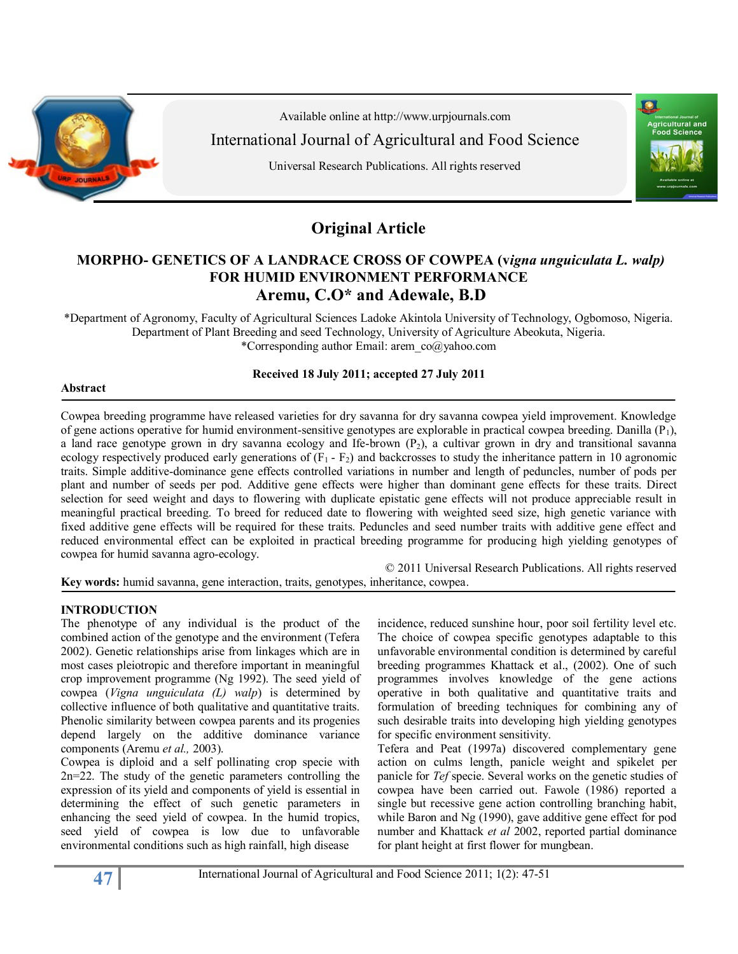

Available online at http:/[/www.urpjournals.com](http://www.urpjournals.com/) International Journal of Agricultural and Food Science

Universal Research Publications. All rights reserved



# **Original Article**

## **MORPHO- GENETICS OF A LANDRACE CROSS OF COWPEA (v***igna unguiculata L. walp)* **FOR HUMID ENVIRONMENT PERFORMANCE Aremu, C.O\* and Adewale, B.D**

\*Department of Agronomy, Faculty of Agricultural Sciences Ladoke Akintola University of Technology, Ogbomoso, Nigeria. Department of Plant Breeding and seed Technology, University of Agriculture Abeokuta, Nigeria. \*Corresponding author Email: arem\_co@yahoo.com

## **Received 18 July 2011; accepted 27 July 2011**

#### **Abstract**

Cowpea breeding programme have released varieties for dry savanna for dry savanna cowpea yield improvement. Knowledge of gene actions operative for humid environment-sensitive genotypes are explorable in practical cowpea breeding. Danilla  $(P_1)$ , a land race genotype grown in dry savanna ecology and Ife-brown  $(P_2)$ , a cultivar grown in dry and transitional savanna ecology respectively produced early generations of  $(F_1 - F_2)$  and backcrosses to study the inheritance pattern in 10 agronomic traits. Simple additive-dominance gene effects controlled variations in number and length of peduncles, number of pods per plant and number of seeds per pod. Additive gene effects were higher than dominant gene effects for these traits. Direct selection for seed weight and days to flowering with duplicate epistatic gene effects will not produce appreciable result in meaningful practical breeding. To breed for reduced date to flowering with weighted seed size, high genetic variance with fixed additive gene effects will be required for these traits. Peduncles and seed number traits with additive gene effect and reduced environmental effect can be exploited in practical breeding programme for producing high yielding genotypes of cowpea for humid savanna agro-ecology.

© 2011 Universal Research Publications. All rights reserved **Key words:** humid savanna, gene interaction, traits, genotypes, inheritance, cowpea.

## **INTRODUCTION**

The phenotype of any individual is the product of the combined action of the genotype and the environment (Tefera 2002). Genetic relationships arise from linkages which are in most cases pleiotropic and therefore important in meaningful crop improvement programme (Ng 1992). The seed yield of cowpea (*Vigna unguiculata (L) walp*) is determined by collective influence of both qualitative and quantitative traits. Phenolic similarity between cowpea parents and its progenies depend largely on the additive dominance variance components (Aremu *et al.,* 2003).

Cowpea is diploid and a self pollinating crop specie with 2n=22. The study of the genetic parameters controlling the expression of its yield and components of yield is essential in determining the effect of such genetic parameters in enhancing the seed yield of cowpea. In the humid tropics, seed yield of cowpea is low due to unfavorable environmental conditions such as high rainfall, high disease

incidence, reduced sunshine hour, poor soil fertility level etc. The choice of cowpea specific genotypes adaptable to this unfavorable environmental condition is determined by careful breeding programmes Khattack et al., (2002). One of such programmes involves knowledge of the gene actions operative in both qualitative and quantitative traits and formulation of breeding techniques for combining any of such desirable traits into developing high yielding genotypes for specific environment sensitivity.

Tefera and Peat (1997a) discovered complementary gene action on culms length, panicle weight and spikelet per panicle for *Tef* specie. Several works on the genetic studies of cowpea have been carried out. Fawole (1986) reported a single but recessive gene action controlling branching habit, while Baron and Ng (1990), gave additive gene effect for pod number and Khattack *et al* 2002, reported partial dominance for plant height at first flower for mungbean.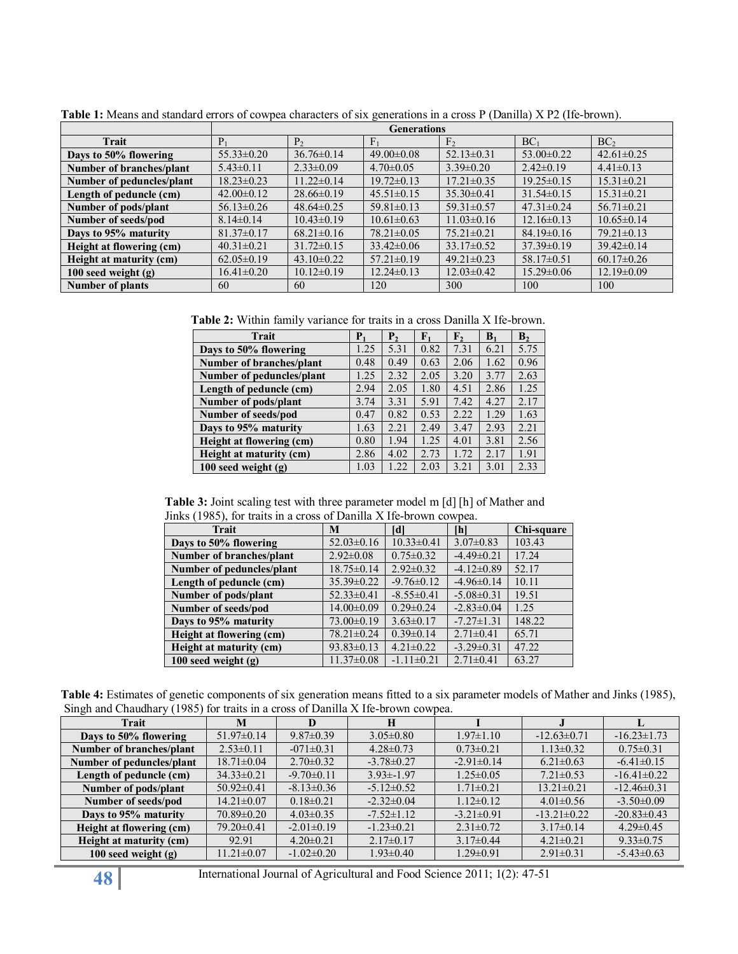|                           | <b>Generations</b> |                  |                  |                  |                  |                  |  |  |
|---------------------------|--------------------|------------------|------------------|------------------|------------------|------------------|--|--|
| Trait                     | $P_1$              | P <sub>2</sub>   | $F_1$            | F <sub>2</sub>   | BC <sub>1</sub>  | BC <sub>2</sub>  |  |  |
| Days to 50% flowering     | $55.33 \pm 0.20$   | $36.76 \pm 0.14$ | $49.00 \pm 0.08$ | $52.13 \pm 0.31$ | $53.00 \pm 0.22$ | $42.61 \pm 0.25$ |  |  |
| Number of branches/plant  | $5.43 \pm 0.11$    | $2.33 \pm 0.09$  | $4.70 \pm 0.05$  | $3.39\pm0.20$    | $2.42\pm0.19$    | $4.41\pm0.13$    |  |  |
| Number of peduncles/plant | $18.23 \pm 0.23$   | $11.22 \pm 0.14$ | $19.72 \pm 0.13$ | $17.21 \pm 0.35$ | $19.25 \pm 0.15$ | $15.31 \pm 0.21$ |  |  |
| Length of peduncle (cm)   | $42.00 \pm 0.12$   | $28.66\pm0.19$   | $45.51 \pm 0.15$ | $35.30 \pm 0.41$ | $31.54 \pm 0.15$ | $15.31 \pm 0.21$ |  |  |
| Number of pods/plant      | $56.13 \pm 0.26$   | $48.64\pm0.25$   | $59.81 \pm 0.13$ | $59.31 \pm 0.57$ | $47.31 \pm 0.24$ | $56.71 \pm 0.21$ |  |  |
| Number of seeds/pod       | $8.14 \pm 0.14$    | $10.43 \pm 0.19$ | $10.61 \pm 0.63$ | $11.03 \pm 0.16$ | $12.16 \pm 0.13$ | $10.65 \pm 0.14$ |  |  |
| Days to 95% maturity      | $81.37 \pm 0.17$   | $68.21 \pm 0.16$ | $78.21 \pm 0.05$ | $75.21 \pm 0.21$ | $84.19 \pm 0.16$ | $79.21 \pm 0.13$ |  |  |
| Height at flowering (cm)  | $40.31 \pm 0.21$   | $31.72 \pm 0.15$ | $33.42\pm0.06$   | $33.17\pm0.52$   | $37.39\pm0.19$   | $39.42 \pm 0.14$ |  |  |
| Height at maturity (cm)   | $62.05 \pm 0.19$   | $43.10\pm0.22$   | $57.21 \pm 0.19$ | $49.21 \pm 0.23$ | $58.17 \pm 0.51$ | $60.17 \pm 0.26$ |  |  |
| 100 seed weight $(g)$     | $16.41 \pm 0.20$   | $10.12 \pm 0.19$ | $12.24 \pm 0.13$ | $12.03 \pm 0.42$ | $15.29 \pm 0.06$ | $12.19 \pm 0.09$ |  |  |
| <b>Number of plants</b>   | 60                 | 60               | 120              | 300              | 100              | 100              |  |  |

**Table 1:** Means and standard errors of cowpea characters of six generations in a cross P (Danilla) X P2 (Ife-brown).

**Table 2:** Within family variance for traits in a cross Danilla X Ife-brown.

| Trait                     | ${\bf P}_1$ | P <sub>2</sub> | $F_1$ | $\mathbf{F}_{2}$ | B <sub>1</sub> | $\mathbf{B}_2$ |
|---------------------------|-------------|----------------|-------|------------------|----------------|----------------|
| Days to 50% flowering     | 1.25        | 5.31           | 0.82  | 7.31             | 6.21           | 5.75           |
| Number of branches/plant  | 0.48        | 0.49           | 0.63  | 2.06             | 1.62           | 0.96           |
| Number of peduncles/plant | 1.25        | 2.32           | 2.05  | 3.20             | 3.77           | 2.63           |
| Length of peduncle (cm)   | 2.94        | 2.05           | 1.80  | 4.51             | 2.86           | 1.25           |
| Number of pods/plant      | 3.74        | 3.31           | 5.91  | 7.42             | 4.27           | 2.17           |
| Number of seeds/pod       | 0.47        | 0.82           | 0.53  | 2.22             | 1.29           | 1.63           |
| Days to 95% maturity      | 1.63        | 2.21           | 2.49  | 3.47             | 2.93           | 2.21           |
| Height at flowering (cm)  | 0.80        | 1.94           | 1.25  | 4.01             | 3.81           | 2.56           |
| Height at maturity (cm)   | 2.86        | 4.02           | 2.73  | 1.72             | 2.17           | 1.91           |
| $100$ seed weight $(g)$   | 1.03        | 1.22           | 2.03  | 3.21             | 3.01           | 2.33           |

**Table 3:** Joint scaling test with three parameter model m [d] [h] of Mather and Jinks (1985), for traits in a cross of Danilla X Ife-brown cowpea.

| <b>Trait</b>              | M                | [d]              | [h]              | Chi-square |
|---------------------------|------------------|------------------|------------------|------------|
| Days to 50% flowering     | $52.03 \pm 0.16$ | $10.33 \pm 0.41$ | $3.07 \pm 0.83$  | 103.43     |
| Number of branches/plant  | $2.92 \pm 0.08$  | $0.75 \pm 0.32$  | $-4.49\pm0.21$   | 17.24      |
| Number of peduncles/plant | $18.75 \pm 0.14$ | $2.92\pm0.32$    | $-4.12\pm0.89$   | 52.17      |
| Length of peduncle (cm)   | $35.39 \pm 0.22$ | $-9.76 \pm 0.12$ | $-4.96\pm0.14$   | 10.11      |
| Number of pods/plant      | $52.33 \pm 0.41$ | $-8.55 \pm 0.41$ | $-5.08 \pm 0.31$ | 19.51      |
| Number of seeds/pod       | $14.00 \pm 0.09$ | $0.29 \pm 0.24$  | $-2.83 \pm 0.04$ | 1.25       |
| Days to 95% maturity      | $73.00 \pm 0.19$ | $3.63 \pm 0.17$  | $-7.27 \pm 1.31$ | 148.22     |
| Height at flowering (cm)  | 78.21±0.24       | $0.39 \pm 0.14$  | $2.71 \pm 0.41$  | 65.71      |
| Height at maturity (cm)   | $93.83 \pm 0.13$ | $4.21 \pm 0.22$  | $-3.29 \pm 0.31$ | 47.22      |
| 100 seed weight $(g)$     | $11.37 \pm 0.08$ | $-1.11\pm0.21$   | $2.71 \pm 0.41$  | 63.27      |

**Table 4:** Estimates of genetic components of six generation means fitted to a six parameter models of Mather and Jinks (1985), Singh and Chaudhary (1985) for traits in a cross of Danilla X Ife-brown cowpea.

| <b>Trait</b>              | M                | D                | Н                |                  |                   |                   |
|---------------------------|------------------|------------------|------------------|------------------|-------------------|-------------------|
| Days to 50% flowering     | $51.97\pm0.14$   | $9.87 \pm 0.39$  | $3.05 \pm 0.80$  | $1.97 \pm 1.10$  | $-12.63 \pm 0.71$ | $-16.23 \pm 1.73$ |
| Number of branches/plant  | $2.53\pm0.11$    | $-071 \pm 0.31$  | $4.28 \pm 0.73$  | $0.73 \pm 0.21$  | $1.13 \pm 0.32$   | $0.75 \pm 0.31$   |
| Number of peduncles/plant | $18.71 \pm 0.04$ | $2.70 \pm 0.32$  | $-3.78 \pm 0.27$ | $-2.91 \pm 0.14$ | $6.21 \pm 0.63$   | $-6.41\pm0.15$    |
| Length of peduncle (cm)   | $34.33 \pm 0.21$ | $-9.70 \pm 0.11$ | $3.93 \pm 1.97$  | $1.25 \pm 0.05$  | $7.21 \pm 0.53$   | $-16.41\pm0.22$   |
| Number of pods/plant      | $50.92 \pm 0.41$ | $-8.13 \pm 0.36$ | $-5.12 \pm 0.52$ | $1.71 \pm 0.21$  | $13.21 \pm 0.21$  | $-12.46\pm0.31$   |
| Number of seeds/pod       | $14.21 \pm 0.07$ | $0.18 \pm 0.21$  | $-2.32\pm0.04$   | $1.12 \pm 0.12$  | $4.01 \pm 0.56$   | $-3.50\pm0.09$    |
| Days to 95% maturity      | $70.89 \pm 0.20$ | $4.03 \pm 0.35$  | $-7.52 \pm 1.12$ | $-3.21 \pm 0.91$ | $-13.21 \pm 0.22$ | $-20.83 \pm 0.43$ |
| Height at flowering (cm)  | $79.20 \pm 0.41$ | $-2.01 \pm 0.19$ | $-1.23 \pm 0.21$ | $2.31 \pm 0.72$  | $3.17\pm0.14$     | $4.29 \pm 0.45$   |
| Height at maturity (cm)   | 92.91            | $4.20 \pm 0.21$  | $2.17\pm0.17$    | $3.17\pm0.44$    | $4.21 \pm 0.21$   | $9.33 \pm 0.75$   |
| $100$ seed weight $(g)$   | $11.21 \pm 0.07$ | $-1.02 \pm 0.20$ | $1.93 \pm 0.40$  | $1.29 \pm 0.91$  | $2.91 \pm 0.31$   | $-5.43\pm0.63$    |

**48** International Journal of Agricultural and Food Science 2011; 1(2): 47-51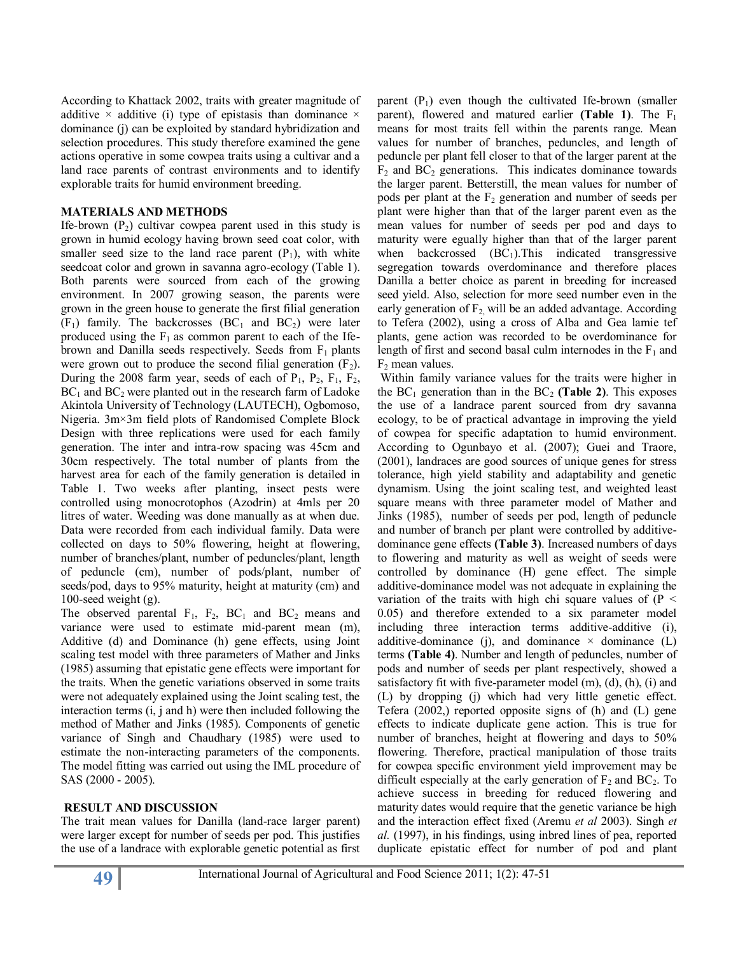According to Khattack 2002, traits with greater magnitude of additive  $\times$  additive (i) type of epistasis than dominance  $\times$ dominance (j) can be exploited by standard hybridization and selection procedures. This study therefore examined the gene actions operative in some cowpea traits using a cultivar and a land race parents of contrast environments and to identify explorable traits for humid environment breeding.

#### **MATERIALS AND METHODS**

Ife-brown  $(P_2)$  cultivar cowpea parent used in this study is grown in humid ecology having brown seed coat color, with smaller seed size to the land race parent  $(P_1)$ , with white seedcoat color and grown in savanna agro-ecology (Table 1). Both parents were sourced from each of the growing environment. In 2007 growing season, the parents were grown in the green house to generate the first filial generation  $(F_1)$  family. The backcrosses  $(BC_1$  and  $BC_2)$  were later produced using the  $F_1$  as common parent to each of the Ifebrown and Danilla seeds respectively. Seeds from  $F_1$  plants were grown out to produce the second filial generation  $(F_2)$ . During the 2008 farm year, seeds of each of  $P_1$ ,  $P_2$ ,  $F_1$ ,  $F_2$ ,  $BC<sub>1</sub>$  and  $BC<sub>2</sub>$  were planted out in the research farm of Ladoke Akintola University of Technology (LAUTECH), Ogbomoso, Nigeria. 3m×3m field plots of Randomised Complete Block Design with three replications were used for each family generation. The inter and intra-row spacing was 45cm and 30cm respectively. The total number of plants from the harvest area for each of the family generation is detailed in Table 1. Two weeks after planting, insect pests were controlled using monocrotophos (Azodrin) at 4mls per 20 litres of water. Weeding was done manually as at when due. Data were recorded from each individual family. Data were collected on days to 50% flowering, height at flowering, number of branches/plant, number of peduncles/plant, length of peduncle (cm), number of pods/plant, number of seeds/pod, days to 95% maturity, height at maturity (cm) and 100-seed weight (g).

The observed parental  $F_1$ ,  $F_2$ ,  $BC_1$  and  $BC_2$  means and variance were used to estimate mid-parent mean (m), Additive (d) and Dominance (h) gene effects, using Joint scaling test model with three parameters of Mather and Jinks (1985) assuming that epistatic gene effects were important for the traits. When the genetic variations observed in some traits were not adequately explained using the Joint scaling test, the interaction terms (i, j and h) were then included following the method of Mather and Jinks (1985). Components of genetic variance of Singh and Chaudhary (1985) were used to estimate the non-interacting parameters of the components. The model fitting was carried out using the IML procedure of SAS (2000 - 2005).

#### **RESULT AND DISCUSSION**

The trait mean values for Danilla (land-race larger parent) were larger except for number of seeds per pod. This justifies the use of a landrace with explorable genetic potential as first parent  $(P_1)$  even though the cultivated Ife-brown (smaller parent), flowered and matured earlier **(Table 1)**. The  $F_1$ means for most traits fell within the parents range. Mean values for number of branches, peduncles, and length of peduncle per plant fell closer to that of the larger parent at the  $F_2$  and  $BC_2$  generations. This indicates dominance towards the larger parent. Betterstill, the mean values for number of pods per plant at the  $F_2$  generation and number of seeds per plant were higher than that of the larger parent even as the mean values for number of seeds per pod and days to maturity were egually higher than that of the larger parent when backcrossed  $(BC_1)$ . This indicated transgressive segregation towards overdominance and therefore places Danilla a better choice as parent in breeding for increased seed yield. Also, selection for more seed number even in the early generation of  $F_2$  will be an added advantage. According to Tefera (2002), using a cross of Alba and Gea lamie tef plants, gene action was recorded to be overdominance for length of first and second basal culm internodes in the  $F_1$  and  $F_2$  mean values.

Within family variance values for the traits were higher in the  $BC_1$  generation than in the  $BC_2$  (**Table 2**). This exposes the use of a landrace parent sourced from dry savanna ecology, to be of practical advantage in improving the yield of cowpea for specific adaptation to humid environment. According to Ogunbayo et al. (2007); Guei and Traore, (2001), landraces are good sources of unique genes for stress tolerance, high yield stability and adaptability and genetic dynamism. Using the joint scaling test, and weighted least square means with three parameter model of Mather and Jinks (1985), number of seeds per pod, length of peduncle and number of branch per plant were controlled by additivedominance gene effects **(Table 3)**. Increased numbers of days to flowering and maturity as well as weight of seeds were controlled by dominance (H) gene effect. The simple additive-dominance model was not adequate in explaining the variation of the traits with high chi square values of  $(P \leq$ 0.05) and therefore extended to a six parameter model including three interaction terms additive-additive (i), additive-dominance (j), and dominance  $\times$  dominance (L) terms **(Table 4)**. Number and length of peduncles, number of pods and number of seeds per plant respectively, showed a satisfactory fit with five-parameter model (m), (d), (h), (i) and (L) by dropping (j) which had very little genetic effect. Tefera (2002,) reported opposite signs of (h) and (L) gene effects to indicate duplicate gene action. This is true for number of branches, height at flowering and days to 50% flowering. Therefore, practical manipulation of those traits for cowpea specific environment yield improvement may be difficult especially at the early generation of  $F_2$  and  $BC_2$ . To achieve success in breeding for reduced flowering and maturity dates would require that the genetic variance be high and the interaction effect fixed (Aremu *et al* 2003). Singh *et al.* (1997), in his findings, using inbred lines of pea, reported duplicate epistatic effect for number of pod and plant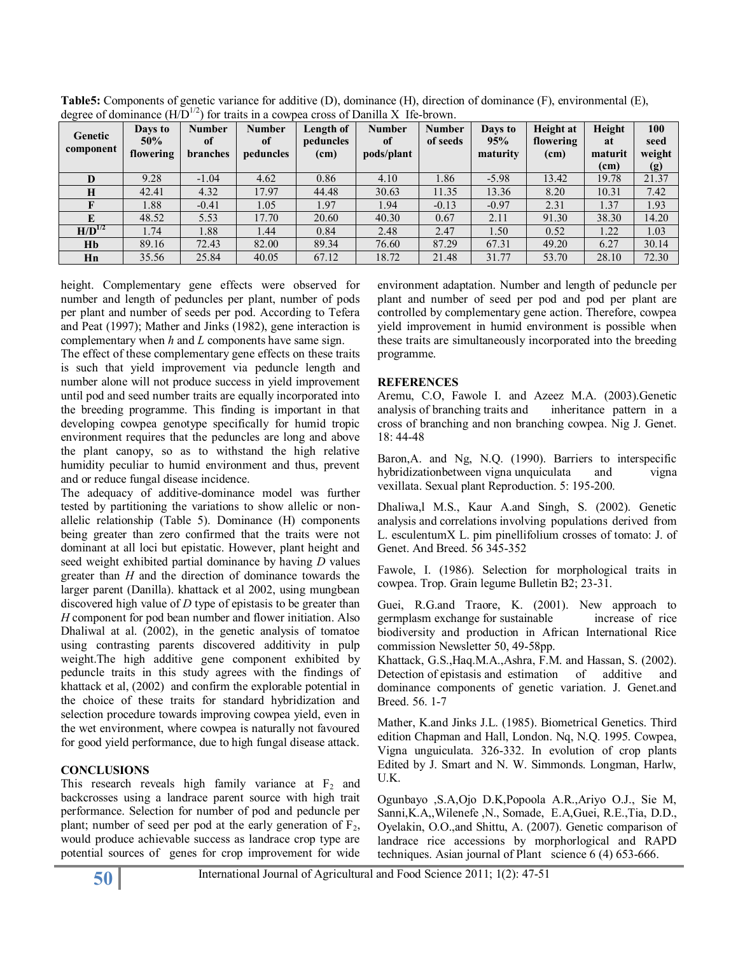| Genetic<br>component | Days to<br>50%<br>flowering | <b>Number</b><br>of<br><b>branches</b> | <b>Number</b><br>of<br>peduncles | Length of<br>peduncles<br>(cm) | <b>Number</b><br>of<br>pods/plant | <b>Number</b><br>of seeds | Days to<br>95%<br>maturity | Height at<br>flowering<br>(cm) | Height<br>at<br>maturit<br>(cm) | 100<br>seed<br>weight<br>(g) |
|----------------------|-----------------------------|----------------------------------------|----------------------------------|--------------------------------|-----------------------------------|---------------------------|----------------------------|--------------------------------|---------------------------------|------------------------------|
| D                    | 9.28                        | $-1.04$                                | 4.62                             | 0.86                           | 4.10                              | 1.86                      | $-5.98$                    | 13.42                          | 19.78                           | 21.37                        |
| H                    | 42.41                       | 4.32                                   | 17.97                            | 44.48                          | 30.63                             | 11.35                     | 13.36                      | 8.20                           | 10.31                           | 7.42                         |
|                      | 1.88                        | $-0.41$                                | 1.05                             | 1.97                           | 1.94                              | $-0.13$                   | $-0.97$                    | 2.31                           | 1.37                            | 1.93                         |
|                      | 48.52                       | 5.53                                   | 17.70                            | 20.60                          | 40.30                             | 0.67                      | 2.11                       | 91.30                          | 38.30                           | 14.20                        |
| $H/D^{1/2}$          | 1.74                        | 1.88                                   | 1.44                             | 0.84                           | 2.48                              | 2.47                      | 1.50                       | 0.52                           | 1.22                            | 1.03                         |
| Hb                   | 89.16                       | 72.43                                  | 82.00                            | 89.34                          | 76.60                             | 87.29                     | 67.31                      | 49.20                          | 6.27                            | 30.14                        |
| Hn                   | 35.56                       | 25.84                                  | 40.05                            | 67.12                          | 18.72                             | 21.48                     | 31.77                      | 53.70                          | 28.10                           | 72.30                        |

**Table5:** Components of genetic variance for additive (D), dominance (H), direction of dominance (F), environmental (E), degree of dominance  $(H\bar{D}^{1/2})$  for traits in a cowpea cross of Danilla X Ife-brown.

height. Complementary gene effects were observed for number and length of peduncles per plant, number of pods per plant and number of seeds per pod. According to Tefera and Peat (1997); Mather and Jinks (1982), gene interaction is complementary when *h* and *L* components have same sign.

The effect of these complementary gene effects on these traits is such that yield improvement via peduncle length and number alone will not produce success in yield improvement until pod and seed number traits are equally incorporated into the breeding programme. This finding is important in that developing cowpea genotype specifically for humid tropic environment requires that the peduncles are long and above the plant canopy, so as to withstand the high relative humidity peculiar to humid environment and thus, prevent and or reduce fungal disease incidence.

The adequacy of additive-dominance model was further tested by partitioning the variations to show allelic or nonallelic relationship (Table 5). Dominance (H) components being greater than zero confirmed that the traits were not dominant at all loci but epistatic. However, plant height and seed weight exhibited partial dominance by having *D* values greater than *H* and the direction of dominance towards the larger parent (Danilla). khattack et al 2002, using mungbean discovered high value of *D* type of epistasis to be greater than *H* component for pod bean number and flower initiation. Also Dhaliwal at al. (2002), in the genetic analysis of tomatoe using contrasting parents discovered additivity in pulp weight.The high additive gene component exhibited by peduncle traits in this study agrees with the findings of khattack et al, (2002) and confirm the explorable potential in the choice of these traits for standard hybridization and selection procedure towards improving cowpea yield, even in the wet environment, where cowpea is naturally not favoured for good yield performance, due to high fungal disease attack.

#### **CONCLUSIONS**

This research reveals high family variance at  $F_2$  and backcrosses using a landrace parent source with high trait performance. Selection for number of pod and peduncle per plant; number of seed per pod at the early generation of  $F_2$ , would produce achievable success as landrace crop type are potential sources of genes for crop improvement for wide

environment adaptation. Number and length of peduncle per plant and number of seed per pod and pod per plant are controlled by complementary gene action. Therefore, cowpea yield improvement in humid environment is possible when these traits are simultaneously incorporated into the breeding programme.

#### **REFERENCES**

Aremu, C.O, Fawole I. and Azeez M.A. (2003).Genetic analysis of branching traits and inheritance pattern in a cross of branching and non branching cowpea. Nig J. Genet. 18: 44-48

Baron,A. and Ng, N.Q. (1990). Barriers to interspecific hybridizationbetween vigna unquiculata and vigna vexillata. Sexual plant Reproduction. 5: 195-200.

Dhaliwa,l M.S., Kaur A.and Singh, S. (2002). Genetic analysis and correlations involving populations derived from L. esculentumX L. pim pinellifolium crosses of tomato: J. of Genet. And Breed. 56 345-352

Fawole, I. (1986). Selection for morphological traits in cowpea. Trop. Grain legume Bulletin B2; 23-31.

Guei, R.G.and Traore, K. (2001). New approach to germplasm exchange for sustainable increase of rice biodiversity and production in African International Rice commission Newsletter 50, 49-58pp.

Khattack, G.S.,Haq.M.A.,Ashra, F.M. and Hassan, S. (2002). Detection of epistasis and estimation of additive and dominance components of genetic variation. J. Genet.and Breed. 56. 1-7

Mather, K.and Jinks J.L. (1985). Biometrical Genetics. Third edition Chapman and Hall, London. Nq, N.Q. 1995. Cowpea, Vigna unguiculata. 326-332. In evolution of crop plants Edited by J. Smart and N. W. Simmonds. Longman, Harlw, U.K.

Ogunbayo ,S.A,Ojo D.K,Popoola A.R.,Ariyo O.J., Sie M, Sanni,K.A,,Wilenefe ,N., Somade, E.A,Guei, R.E.,Tia, D.D., Oyelakin, O.O.,and Shittu, A. (2007). Genetic comparison of landrace rice accessions by morphorlogical and RAPD techniques. Asian journal of Plant science 6 (4) 653-666.